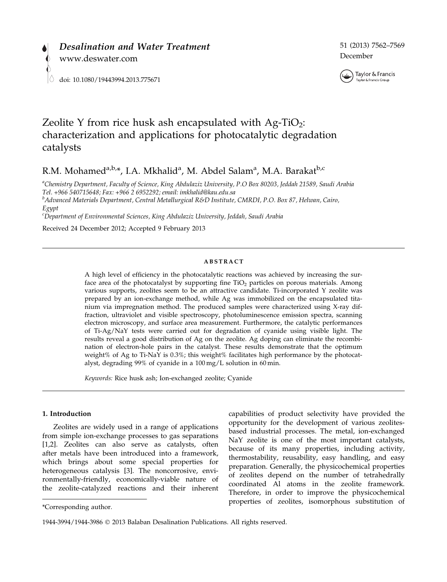

51 (2013) 7562–7569 December



# Zeolite Y from rice husk ash encapsulated with  $Ag-TiO<sub>2</sub>$ : characterization and applications for photocatalytic degradation catalysts

R.M. Mohamed<sup>a,b,\*</sup>, I.A. Mkhalid<sup>a</sup>, M. Abdel Salam<sup>a</sup>, M.A. Barakat<sup>b,c</sup>

a Chemistry Department, Faculty of Science, King Abdulaziz University, P.O Box 80203, Jeddah 21589, Saudi Arabia Tel. +966 540715648; Fax: +966 2 6952292; email: imkhalid@kau.edu.sa

<sup>b</sup>Advanced Materials Department, Central Metallurgical R&D Institute, CMRDI, P.O. Box 87, Helwan, Cairo, Egypt

c Department of Environmental Sciences, King Abdulaziz University, Jeddah, Saudi Arabia

Received 24 December 2012; Accepted 9 February 2013

#### ABSTRACT

A high level of efficiency in the photocatalytic reactions was achieved by increasing the surface area of the photocatalyst by supporting fine  $TiO<sub>2</sub>$  particles on porous materials. Among various supports, zeolites seem to be an attractive candidate. Ti-incorporated Y zeolite was prepared by an ion-exchange method, while Ag was immobilized on the encapsulated titanium via impregnation method. The produced samples were characterized using X-ray diffraction, ultraviolet and visible spectroscopy, photoluminescence emission spectra, scanning electron microscopy, and surface area measurement. Furthermore, the catalytic performances of Ti-Ag/NaY tests were carried out for degradation of cyanide using visible light. The results reveal a good distribution of Ag on the zeolite. Ag doping can eliminate the recombination of electron-hole pairs in the catalyst. These results demonstrate that the optimum weight% of Ag to Ti-NaY is 0.3%; this weight% facilitates high performance by the photocatalyst, degrading 99% of cyanide in a 100 mg/L solution in 60 min.

Keywords: Rice husk ash; Ion-exchanged zeolite; Cyanide

# 1. Introduction

Zeolites are widely used in a range of applications from simple ion-exchange processes to gas separations [1,2]. Zeolites can also serve as catalysts, often after metals have been introduced into a framework, which brings about some special properties for heterogeneous catalysis [3]. The noncorrosive, environmentally-friendly, economically-viable nature of the zeolite-catalyzed reactions and their inherent

capabilities of product selectivity have provided the opportunity for the development of various zeolitesbased industrial processes. The metal, ion-exchanged NaY zeolite is one of the most important catalysts, because of its many properties, including activity, thermostability, reusability, easy handling, and easy preparation. Generally, the physicochemical properties of zeolites depend on the number of tetrahedrally coordinated Al atoms in the zeolite framework. Therefore, in order to improve the physicochemical properties of zeolites, isomorphous substitution of  $*$ Corresponding author.

<sup>1944-3994/1944-3986</sup> 2013 Balaban Desalination Publications. All rights reserved.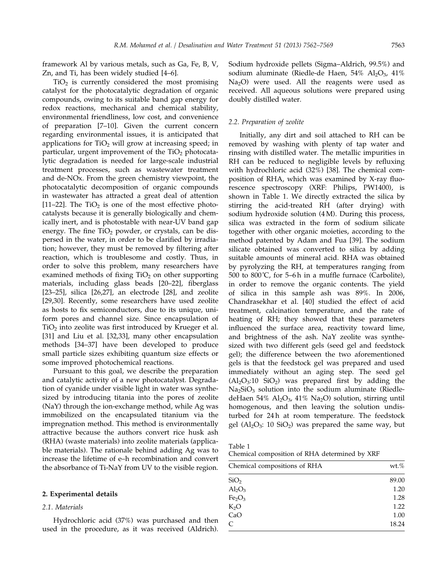framework Al by various metals, such as Ga, Fe, B, V, Zn, and Ti, has been widely studied [4–6].

 $TiO<sub>2</sub>$  is currently considered the most promising catalyst for the photocatalytic degradation of organic compounds, owing to its suitable band gap energy for redox reactions, mechanical and chemical stability, environmental friendliness, low cost, and convenience of preparation [7–10]. Given the current concern regarding environmental issues, it is anticipated that applications for  $TiO<sub>2</sub>$  will grow at increasing speed; in particular, urgent improvement of the  $TiO<sub>2</sub>$  photocatalytic degradation is needed for large-scale industrial treatment processes, such as wastewater treatment and de-NOx. From the green chemistry viewpoint, the photocatalytic decomposition of organic compounds in wastewater has attracted a great deal of attention [11–22]. The  $TiO<sub>2</sub>$  is one of the most effective photocatalysts because it is generally biologically and chemically inert, and is photostable with near-UV band gap energy. The fine  $TiO<sub>2</sub>$  powder, or crystals, can be dispersed in the water, in order to be clarified by irradiation; however, they must be removed by filtering after reaction, which is troublesome and costly. Thus, in order to solve this problem, many researchers have examined methods of fixing  $TiO<sub>2</sub>$  on other supporting materials, including glass beads [20–22], fiberglass [23–25], silica [26,27], an electrode [28], and zeolite [29,30]. Recently, some researchers have used zeolite as hosts to fix semiconductors, due to its unique, uniform pores and channel size. Since encapsulation of TiO<sub>2</sub> into zeolite was first introduced by Krueger et al. [31] and Liu et al. [32,33], many other encapsulation methods [34–37] have been developed to produce small particle sizes exhibiting quantum size effects or some improved photochemical reactions.

Pursuant to this goal, we describe the preparation and catalytic activity of a new photocatalyst. Degradation of cyanide under visible light in water was synthesized by introducing titania into the pores of zeolite (NaY) through the ion-exchange method, while Ag was immobilized on the encapsulated titanium via the impregnation method. This method is environmentally attractive because the authors convert rice husk ash (RHA) (waste materials) into zeolite materials (applicable materials). The rationale behind adding Ag was to increase the lifetime of e–h recombination and convert the absorbance of Ti-NaY from UV to the visible region.

# 2. Experimental details

#### 2.1. Materials

Hydrochloric acid (37%) was purchased and then used in the procedure, as it was received (Aldrich). Sodium hydroxide pellets (Sigma–Aldrich, 99.5%) and sodium aluminate (Riedle-de Haen,  $54\%$  Al<sub>2</sub>O<sub>3</sub>,  $41\%$ Na<sub>2</sub>O) were used. All the reagents were used as received. All aqueous solutions were prepared using doubly distilled water.

# 2.2. Preparation of zeolite

Initially, any dirt and soil attached to RH can be removed by washing with plenty of tap water and rinsing with distilled water. The metallic impurities in RH can be reduced to negligible levels by refluxing with hydrochloric acid (32%) [38]. The chemical composition of RHA, which was examined by X-ray fluorescence spectroscopy (XRF: Philips, PW1400), is shown in Table 1. We directly extracted the silica by stirring the acid-treated RH (after drying) with sodium hydroxide solution (4 M). During this process, silica was extracted in the form of sodium silicate together with other organic moieties, according to the method patented by Adam and Fua [39]. The sodium silicate obtained was converted to silica by adding suitable amounts of mineral acid. RHA was obtained by pyrolyzing the RH, at temperatures ranging from 500 to 800˚C, for 5–6 h in a muffle furnace (Carbolite), in order to remove the organic contents. The yield of silica in this sample ash was 89%. In 2006, Chandrasekhar et al. [40] studied the effect of acid treatment, calcination temperature, and the rate of heating of RH; they showed that these parameters influenced the surface area, reactivity toward lime, and brightness of the ash. NaY zeolite was synthesized with two different gels (seed gel and feedstock gel); the difference between the two aforementioned gels is that the feedstock gel was prepared and used immediately without an aging step. The seed gel  $(Al<sub>2</sub>O<sub>3</sub>:10 SiO<sub>2</sub>)$  was prepared first by adding the  $Na<sub>2</sub>SiO<sub>3</sub>$  solution into the sodium aluminate (RiedledeHaen 54%  $\mathrm{Al}_2\mathrm{O}_3$ , 41%  $\mathrm{Na}_2\mathrm{O}$ ) solution, stirring until homogenous, and then leaving the solution undisturbed for 24 h at room temperature. The feedstock gel ( $Al_2O_3$ : 10  $SiO_2$ ) was prepared the same way, but

Table 1

Chemical composition of RHA determined by XRF

| Chemical compositions of RHA   | wt.%  |
|--------------------------------|-------|
| SiO <sub>2</sub>               | 89.00 |
| $Al_2O_3$                      | 1.20  |
| Fe <sub>2</sub> O <sub>3</sub> | 1.28  |
| $K_2O$                         | 1.22  |
| CaO                            | 1.00  |
| C                              | 18.24 |
|                                |       |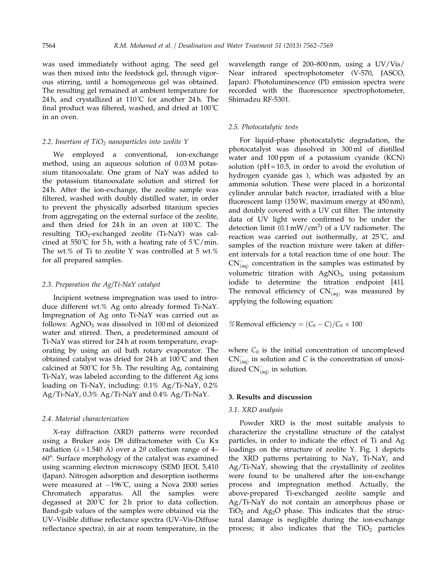was used immediately without aging. The seed gel was then mixed into the feedstock gel, through vigorous stirring, until a homogeneous gel was obtained. The resulting gel remained at ambient temperature for 24 h, and crystallized at  $110^{\circ}$ C for another 24 h. The final product was filtered, washed, and dried at 100˚C in an oven.

### 2.2. Insertion of  $TiO<sub>2</sub>$  nanoparticles into zeolite Y

We employed a conventional, ion-exchange method, using an aqueous solution of 0.03 M potassium titanooxalate. One gram of NaY was added to the potassium titanooxalate solution and stirred for 24 h. After the ion-exchange, the zeolite sample was filtered, washed with doubly distilled water, in order to prevent the physically adsorbed titanium species from aggregating on the external surface of the zeolite, and then dried for 24 h in an oven at 100˚C. The resulting  $TiO<sub>2</sub>$ -exchanged zeolite (Ti-NaY) was calcined at 550°C for 5h, with a heating rate of  $5^{\circ}C/\text{min}$ . The wt.% of Ti to zeolite Y was controlled at 5 wt.% for all prepared samples.

# 2.3. Preparation the Ag/Ti-NaY catalyst

Incipient wetness impregnation was used to introduce different wt.% Ag onto already formed Ti-NaY. Impregnation of Ag onto Ti-NaY was carried out as follows:  $AgNO<sub>3</sub>$  was dissolved in 100 ml of deionized water and stirred. Then, a predetermined amount of Ti-NaY was stirred for 24 h at room temperature, evaporating by using an oil bath rotary evaporator. The obtained catalyst was dried for 24 h at 100˚C and then calcined at 500°C for 5 h. The resulting Ag, containing Ti-NaY, was labeled according to the different Ag ions loading on Ti-NaY, including: 0.1% Ag/Ti-NaY, 0.2% Ag/Ti-NaY, 0.3% Ag/Ti-NaY and 0.4% Ag/Ti-NaY.

#### 2.4. Material characterization

X-ray diffraction (XRD) patterns were recorded using a Bruker axis D8 diffractometer with Cu Ka radiation ( $\lambda = 1.540$  Å) over a 2 $\theta$  collection range of 4– 60°. Surface morphology of the catalyst was examined using scanning electron microscopy (SEM) JEOL 5,410 (Japan). Nitrogen adsorption and desorption isotherms were measured at  $-196^{\circ}$ C, using a Nova 2000 series Chromatech apparatus. All the samples were degassed at 200℃ for 2h prior to data collection. Band-gab values of the samples were obtained via the UV–Visible diffuse reflectance spectra (UV–Vis-Diffuse reflectance spectra), in air at room temperature, in the wavelength range of 200–800 nm, using a UV/Vis/ Near infrared spectrophotometer (V-570, JASCO, Japan). Photoluminescence (Pl) emission spectra were recorded with the fluorescence spectrophotometer, Shimadzu RF-5301.

#### 2.5. Photocatalytic tests

For liquid-phase photocatalytic degradation, the photocatalyst was dissolved in 300 ml of distilled water and 100 ppm of a potassium cyanide (KCN) solution ( $pH = 10.5$ , in order to avoid the evolution of hydrogen cyanide gas ), which was adjusted by an ammonia solution. These were placed in a horizontal cylinder annular batch reactor, irradiated with a blue fluorescent lamp (150 W, maximum energy at 450 nm), and doubly covered with a UV cut filter. The intensity data of UV light were confirmed to be under the detection limit  $(0.1 \text{ mW/cm}^2)$  of a UV radiometer. The reaction was carried out isothermally, at 25˚C, and samples of the reaction mixture were taken at different intervals for a total reaction time of one hour. The  $\text{CN}^-_{\text{(aq)}}$  concentration in the samples was estimated by volumetric titration with AgNO<sub>3</sub>, using potassium iodide to determine the titration endpoint [41]. The removal efficiency of  $\text{CN}^-_{\text{(aq)}}$  was measured by applying the following equation:

% Removal efficiency =  $(C_0 - C)/C_0 \times 100$ 

where  $C_0$  is the initial concentration of uncomplexed  $\text{CN}^-_{\text{(aq)}}$  in solution and C is the concentration of unoxidized  $CN_{(aq)}^-$  in solution.

#### 3. Results and discussion

#### 3.1. XRD analysis

Powder XRD is the most suitable analysis to characterize the crystalline structure of the catalyst particles, in order to indicate the effect of Ti and Ag loadings on the structure of zeolite Y. Fig. 1 depicts the XRD patterns pertaining to NaY, Ti-NaY, and Ag/Ti-NaY, showing that the crystallinity of zeolites were found to be unaltered after the ion-exchange process and impregnation method. Actually, the above-prepared Ti-exchanged zeolite sample and Ag/Ti-NaY do not contain an amorphous phase or  $TiO<sub>2</sub>$  and Ag<sub>2</sub>O phase. This indicates that the structural damage is negligible during the ion-exchange process; it also indicates that the  $TiO<sub>2</sub>$  particles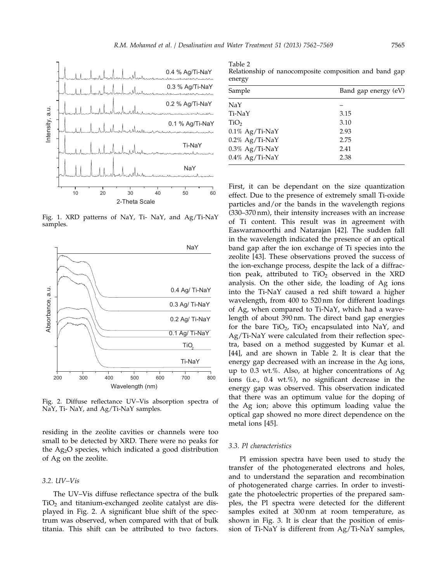

Fig. 1. XRD patterns of NaY, Ti- NaY, and Ag/Ti-NaY samples.



Fig. 2. Diffuse reflectance UV–Vis absorption spectra of NaY, Ti- NaY, and Ag/Ti-NaY samples.

residing in the zeolite cavities or channels were too small to be detected by XRD. There were no peaks for the Ag2O species, which indicated a good distribution of Ag on the zeolite.

# 3.2. UV–Vis

The UV–Vis diffuse reflectance spectra of the bulk  $TiO<sub>2</sub>$  and titanium-exchanged zeolite catalyst are displayed in Fig. 2. A significant blue shift of the spectrum was observed, when compared with that of bulk titania. This shift can be attributed to two factors.

Table 2 Relationship of nanocomposite composition and band gap energy

| Sample            | Band gap energy (eV) |
|-------------------|----------------------|
| NaY               |                      |
| Ti-NaY            | 3.15                 |
| TiO <sub>2</sub>  | 3.10                 |
| $0.1\%$ Ag/Ti-NaY | 2.93                 |
| $0.2\%$ Ag/Ti-NaY | 2.75                 |
| $0.3\%$ Ag/Ti-NaY | 2.41                 |
| $0.4\%$ Ag/Ti-NaY | 2.38                 |

First, it can be dependant on the size quantization effect. Due to the presence of extremely small Ti-oxide particles and/or the bands in the wavelength regions (330–370 nm), their intensity increases with an increase of Ti content. This result was in agreement with Easwaramoorthi and Natarajan [42]. The sudden fall in the wavelength indicated the presence of an optical band gap after the ion exchange of Ti species into the zeolite [43]. These observations proved the success of the ion-exchange process, despite the lack of a diffraction peak, attributed to  $TiO<sub>2</sub>$  observed in the XRD analysis. On the other side, the loading of Ag ions into the Ti-NaY caused a red shift toward a higher wavelength, from 400 to 520 nm for different loadings of Ag, when compared to Ti-NaY, which had a wavelength of about 390 nm. The direct band gap energies for the bare  $TiO<sub>2</sub>$ ,  $TiO<sub>2</sub>$  encapsulated into NaY, and Ag/Ti-NaY were calculated from their reflection spectra, based on a method suggested by Kumar et al. [44], and are shown in Table 2. It is clear that the energy gap decreased with an increase in the Ag ions, up to 0.3 wt.%. Also, at higher concentrations of Ag ions (i.e., 0.4 wt.%), no significant decrease in the energy gap was observed. This observation indicated that there was an optimum value for the doping of the Ag ion; above this optimum loading value the optical gap showed no more direct dependence on the metal ions [45].

#### 3.3. Pl characteristics

Pl emission spectra have been used to study the transfer of the photogenerated electrons and holes, and to understand the separation and recombination of photogenerated charge carries. In order to investigate the photoelectric properties of the prepared samples, the Pl spectra were detected for the different samples exited at 300 nm at room temperature, as shown in Fig. 3. It is clear that the position of emission of Ti-NaY is different from Ag/Ti-NaY samples,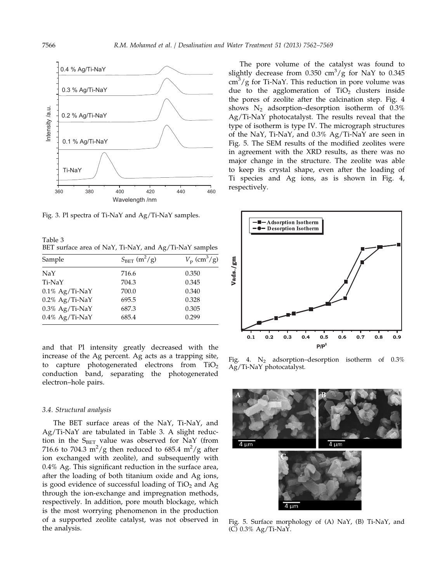

Fig. 3. Pl spectra of Ti-NaY and Ag/Ti-NaY samples.

Table 3 BET surface area of NaY, Ti-NaY, and Ag/Ti-NaY samples

| Sample            | $S_{BET}$ (m <sup>2</sup> /g) | $V_{\rm p}$ (cm <sup>3</sup> /g) |
|-------------------|-------------------------------|----------------------------------|
| NaY               | 716.6                         | 0.350                            |
| Ti-NaY            | 704.3                         | 0.345                            |
| $0.1\%$ Ag/Ti-NaY | 700.0                         | 0.340                            |
| $0.2\%$ Ag/Ti-NaY | 695.5                         | 0.328                            |
| $0.3\%$ Ag/Ti-NaY | 687.3                         | 0.305                            |
| $0.4\%$ Ag/Ti-NaY | 685.4                         | 0.299                            |

and that Pl intensity greatly decreased with the increase of the Ag percent. Ag acts as a trapping site, to capture photogenerated electrons from  $TiO<sub>2</sub>$ conduction band, separating the photogenerated electron–hole pairs.

#### 3.4. Structural analysis

The BET surface areas of the NaY, Ti-NaY, and Ag/Ti-NaY are tabulated in Table 3. A slight reduction in the  $S<sub>BET</sub>$  value was observed for NaY (from 716.6 to 704.3 m<sup>2</sup>/g then reduced to 685.4 m<sup>2</sup>/g after ion exchanged with zeolite), and subsequently with 0.4% Ag. This significant reduction in the surface area, after the loading of both titanium oxide and Ag ions, is good evidence of successful loading of  $TiO<sub>2</sub>$  and Ag through the ion-exchange and impregnation methods, respectively. In addition, pore mouth blockage, which is the most worrying phenomenon in the production of a supported zeolite catalyst, was not observed in the analysis.

The pore volume of the catalyst was found to slightly decrease from  $0.350 \text{ cm}^3/\text{g}$  for NaY to  $0.345$  $\text{cm}^3/\text{g}$  for Ti-NaY. This reduction in pore volume was due to the agglomeration of  $TiO<sub>2</sub>$  clusters inside the pores of zeolite after the calcination step. Fig. 4 shows  $N_2$  adsorption–desorption isotherm of 0.3% Ag/Ti-NaY photocatalyst. The results reveal that the type of isotherm is type IV. The micrograph structures of the NaY, Ti-NaY, and 0.3% Ag/Ti-NaY are seen in Fig. 5. The SEM results of the modified zeolites were in agreement with the XRD results, as there was no major change in the structure. The zeolite was able to keep its crystal shape, even after the loading of Ti species and Ag ions, as is shown in Fig. 4,



Fig. 4.  $N_2$  adsorption–desorption isotherm of 0.3% Ag/Ti-NaY photocatalyst.



Fig. 5. Surface morphology of (A) NaY, (B) Ti-NaY, and (C) 0.3% Ag/Ti-NaY.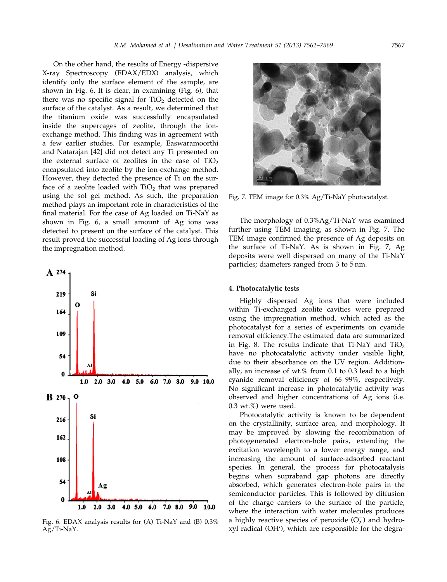On the other hand, the results of Energy -dispersive X-ray Spectroscopy (EDAX/EDX) analysis, which identify only the surface element of the sample, are shown in Fig. 6. It is clear, in examining (Fig. 6), that there was no specific signal for  $TiO<sub>2</sub>$  detected on the surface of the catalyst. As a result, we determined that the titanium oxide was successfully encapsulated inside the supercages of zeolite, through the ionexchange method. This finding was in agreement with a few earlier studies. For example, Easwaramoorthi and Natarajan [42] did not detect any Ti presented on the external surface of zeolites in the case of  $TiO<sub>2</sub>$ encapsulated into zeolite by the ion-exchange method. However, they detected the presence of Ti on the surface of a zeolite loaded with  $TiO<sub>2</sub>$  that was prepared using the sol gel method. As such, the preparation method plays an important role in characteristics of the final material. For the case of Ag loaded on Ti-NaY as shown in Fig. 6, a small amount of Ag ions was detected to present on the surface of the catalyst. This result proved the successful loading of Ag ions through the impregnation method.



Fig. 6. EDAX analysis results for (A) Ti-NaY and (B) 0.3% Ag/Ti-NaY.



Fig. 7. TEM image for 0.3% Ag/Ti-NaY photocatalyst.

The morphology of 0.3%Ag/Ti-NaY was examined further using TEM imaging, as shown in Fig. 7. The TEM image confirmed the presence of Ag deposits on the surface of Ti-NaY. As is shown in Fig. 7, Ag deposits were well dispersed on many of the Ti-NaY particles; diameters ranged from 3 to 5 nm.

#### 4. Photocatalytic tests

Highly dispersed Ag ions that were included within Ti-exchanged zeolite cavities were prepared using the impregnation method, which acted as the photocatalyst for a series of experiments on cyanide removal efficiency.The estimated data are summarized in Fig. 8. The results indicate that  $Ti-NaY$  and  $TiO<sub>2</sub>$ have no photocatalytic activity under visible light, due to their absorbance on the UV region. Additionally, an increase of wt.% from 0.1 to 0.3 lead to a high cyanide removal efficiency of 66–99%, respectively. No significant increase in photocatalytic activity was observed and higher concentrations of Ag ions (i.e. 0.3 wt.%) were used.

Photocatalytic activity is known to be dependent on the crystallinity, surface area, and morphology. It may be improved by slowing the recombination of photogenerated electron-hole pairs, extending the excitation wavelength to a lower energy range, and increasing the amount of surface-adsorbed reactant species. In general, the process for photocatalysis begins when supraband gap photons are directly absorbed, which generates electron-hole pairs in the semiconductor particles. This is followed by diffusion of the charge carriers to the surface of the particle, where the interaction with water molecules produces a highly reactive species of peroxide  $(O_2^-)$  and hydroxyl radical (OH ), which are responsible for the degra-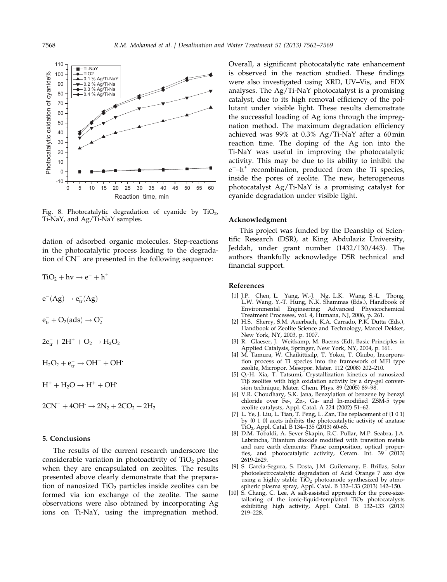

Fig. 8. Photocatalytic degradation of cyanide by  $TiO<sub>2</sub>$ , Ti-NaY, and Ag/Ti-NaY samples.

dation of adsorbed organic molecules. Step-reactions in the photocatalytic process leading to the degradation of  $CN^-$  are presented in the following sequence:

$$
TiO2 + hv \rightarrow e- + h+
$$

$$
e-(Ag) \rightarrow etr-(Ag)
$$

 $e_{tr}^- + O_2(ads) \rightarrow O_2^-$ 

$$
2e_{tr}^- + 2H^+ + O_2 \rightarrow H_2O_2
$$

 $H_2O_2 + e^-_{tr} \rightarrow OH^- + OH^+$ 

- $H^+ + H_2O \rightarrow H^+ + OH^+$
- $2CN^- + 4OH \rightarrow 2N_2 + 2CO_2 + 2H_2$

#### 5. Conclusions

The results of the current research underscore the considerable variation in photoactivity of  $TiO<sub>2</sub>$  phases when they are encapsulated on zeolites. The results presented above clearly demonstrate that the preparation of nanosized  $TiO<sub>2</sub>$  particles inside zeolites can be formed via ion exchange of the zeolite. The same observations were also obtained by incorporating Ag ions on Ti-NaY, using the impregnation method. Overall, a significant photocatalytic rate enhancement is observed in the reaction studied. These findings were also investigated using XRD, UV–Vis, and EDX analyses. The Ag/Ti-NaY photocatalyst is a promising catalyst, due to its high removal efficiency of the pollutant under visible light. These results demonstrate the successful loading of Ag ions through the impregnation method. The maximum degradation efficiency achieved was 99% at 0.3% Ag/Ti-NaY after a 60 min reaction time. The doping of the Ag ion into the Ti-NaY was useful in improving the photocatalytic activity. This may be due to its ability to inhibit the  $e^-$ –h<sup>+</sup> recombination, produced from the Ti species, inside the pores of zeolite. The new, heterogeneous photocatalyst Ag/Ti-NaY is a promising catalyst for cyanide degradation under visible light.

# Acknowledgment

This project was funded by the Deanship of Scientific Research (DSR), at King Abdulaziz University, Jeddah, under grant number (1432/130/443). The authors thankfully acknowledge DSR technical and financial support.

# References

- [1] J.P. Chen, L. Yang, W.-J. Ng, L.K. Wang, S.-L. Thong, L.W. Wang, Y.-T. Hung, N.K. Shammas (Eds.), Handbook of Environmental Engineering: Advanced Physicochemical Treatment Processes, vol. 4, Humana, NJ, 2006, p. 261.
- [2] H.S. Sherry, S.M. Auerbach, K.A. Carrado, P.K. Dutta (Eds.), Handbook of Zeolite Science and Technology, Marcel Dekker, New York, NY, 2003, p. 1007.
- [3] R. Glaeser, J. Weitkamp, M. Baerns (Ed), Basic Principles in Applied Catalysis, Springer, New York, NY, 2004, p. 161.
- [4] M. Tamura, W. Chaikittisilp, T. Yokoi, T. Okubo, Incorporation process of Ti species into the framework of MFI type zeolite, Micropor. Mesopor. Mater. 112 (2008) 202–210.
- [5] Q.-H. Xia, T. Tatsumi, Crystallization kinetics of nanosized  $Ti\beta$  zeolites with high oxidation activity by a dry-gel conversion technique, Mater. Chem. Phys. 89 (2005) 89–98.
- [6] V.R. Choudhary, S.K. Jana, Benzylation of benzene by benzyl chloride over Fe-, Zn-, Ga- and In-modified ZSM-5 type zeolite catalysts, Appl. Catal. A 224 (2002) 51–62.
- [7] L. Ye, J. Liu, L. Tian, T. Peng, L. Zan, The replacement of  $\{1\ 0\ 1\}$ by {0 1 0} acets inhibits the photocatalytic activity of anatase TiO2, Appl. Catal. B 134–135 (2013) 60-65.
- [8] D.M. Tobaldi, A. Sever Škapin, R.C. Pullar, M.P. Seabra, J.A. Labrincha, Titanium dioxide modified with transition metals and rare earth elements: Phase composition, optical properties, and photocatalytic activity, Ceram. Int. 39 (2013) 2619-2629.
- [9] S. Garcia-Segura, S. Dosta, J.M. Guilemany, E. Brillas, Solar photoelectrocatalytic degradation of Acid Orange 7 azo dye using a highly stable  $TiO<sub>2</sub>$  photoanode synthesized by atmospheric plasma spray, Appl. Catal. B 132–133 (2013) 142–150.
- [10] S. Chang, C. Lee, A salt-assisted approach for the pore-sizetailoring of the ionic-liquid-templated  $TiO<sub>2</sub>$  photocatalysts exhibiting high activity, Appl. Catal. B 132–133 (2013) 219–228.